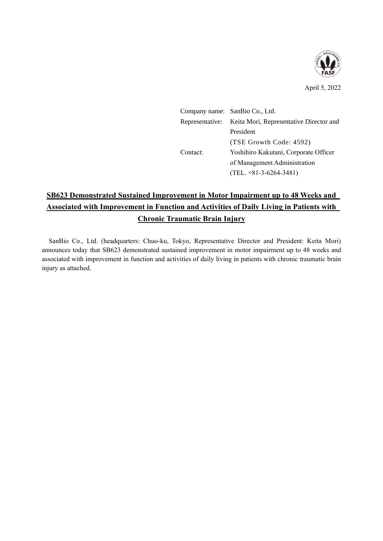

|          | Company name: SanBio Co., Ltd.                          |
|----------|---------------------------------------------------------|
|          | Representative: Keita Mori, Representative Director and |
|          | President                                               |
|          | (TSE Growth Code: 4592)                                 |
| Contact: | Yoshihiro Kakutani, Corporate Officer                   |
|          | of Management Administration                            |
|          | $(TEL. +81-3-6264-3481)$                                |

# **SB623 Demonstrated Sustained Improvement in Motor Impairment up to 48 Weeks and Associated with Improvement in Function and Activities of Daily Living in Patients with Chronic Traumatic Brain Injury**

SanBio Co., Ltd. (headquarters: Chuo-ku, Tokyo, Representative Director and President: Keita Mori) announces today that SB623 demonstrated sustained improvement in motor impairment up to 48 weeks and associated with improvement in function and activities of daily living in patients with chronic traumatic brain injury as attached.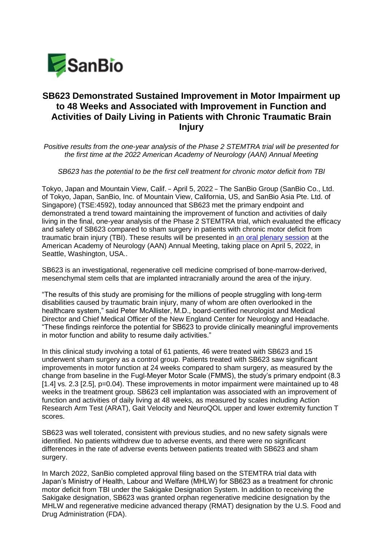

## **SB623 Demonstrated Sustained Improvement in Motor Impairment up to 48 Weeks and Associated with Improvement in Function and Activities of Daily Living in Patients with Chronic Traumatic Brain Injury**

*Positive results from the one-year analysis of the Phase 2 STEMTRA trial will be presented for the first time at the 2022 American Academy of Neurology (AAN) Annual Meeting* 

*SB623 has the potential to be the first cell treatment for chronic motor deficit from TBI*

Tokyo, Japan and Mountain View, Calif. – April 5, 2022 – The SanBio Group (SanBio Co., Ltd. of Tokyo, Japan, SanBio, Inc. of Mountain View, California, US, and SanBio Asia Pte. Ltd. of Singapore) (TSE:4592), today announced that SB623 met the primary endpoint and demonstrated a trend toward maintaining the improvement of function and activities of daily living in the final, one-year analysis of the Phase 2 STEMTRA trial, which evaluated the efficacy and safety of SB623 compared to sham surgery in patients with chronic motor deficit from traumatic brain injury (TBI). These results will be presented in [an oral plenary session](https://www.aan.com/conferences-community/annual-meeting/program/browse-plenary-sessions/) at the American Academy of Neurology (AAN) Annual Meeting, taking place on April 5, 2022, in Seattle, Washington, USA..

SB623 is an investigational, regenerative cell medicine comprised of bone-marrow-derived, mesenchymal stem cells that are implanted intracranially around the area of the injury.

"The results of this study are promising for the millions of people struggling with long-term disabilities caused by traumatic brain injury, many of whom are often overlooked in the healthcare system," said Peter McAllister, M.D., board-certified neurologist and Medical Director and Chief Medical Officer of the New England Center for Neurology and Headache. "These findings reinforce the potential for SB623 to provide clinically meaningful improvements in motor function and ability to resume daily activities."

In this clinical study involving a total of 61 patients, 46 were treated with SB623 and 15 underwent sham surgery as a control group. Patients treated with SB623 saw significant improvements in motor function at 24 weeks compared to sham surgery, as measured by the change from baseline in the Fugl-Meyer Motor Scale (FMMS), the study's primary endpoint (8.3 [1.4] vs. 2.3 [2.5], p=0.04). These improvements in motor impairment were maintained up to 48 weeks in the treatment group. SB623 cell implantation was associated with an improvement of function and activities of daily living at 48 weeks, as measured by scales including Action Research Arm Test (ARAT), Gait Velocity and NeuroQOL upper and lower extremity function T scores.

SB623 was well tolerated, consistent with previous studies, and no new safety signals were identified. No patients withdrew due to adverse events, and there were no significant differences in the rate of adverse events between patients treated with SB623 and sham surgery.

In March 2022, SanBio completed approval filing based on the STEMTRA trial data with Japan's Ministry of Health, Labour and Welfare (MHLW) for SB623 as a treatment for chronic motor deficit from TBI under the Sakigake Designation System. In addition to receiving the Sakigake designation, SB623 was granted orphan regenerative medicine designation by the MHLW and regenerative medicine advanced therapy (RMAT) designation by the U.S. Food and Drug Administration (FDA).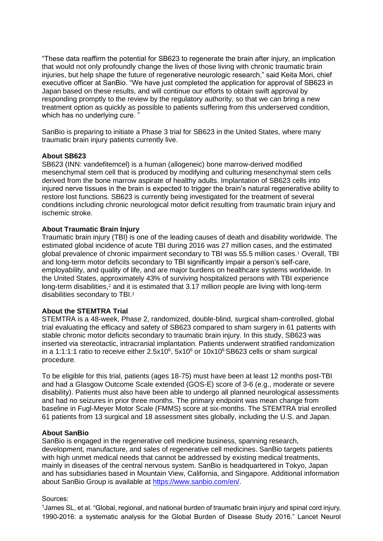"These data reaffirm the potential for SB623 to regenerate the brain after injury, an implication that would not only profoundly change the lives of those living with chronic traumatic brain injuries, but help shape the future of regenerative neurologic research," said Keita Mori, chief executive officer at SanBio. "We have just completed the application for approval of SB623 in Japan based on these results, and will continue our efforts to obtain swift approval by responding promptly to the review by the regulatory authority, so that we can bring a new treatment option as quickly as possible to patients suffering from this underserved condition, which has no underlying cure."

SanBio is preparing to initiate a Phase 3 trial for SB623 in the United States, where many traumatic brain injury patients currently live.

### **About SB623**

SB623 (INN: vandefitemcel) is a human (allogeneic) bone marrow-derived modified mesenchymal stem cell that is produced by modifying and culturing mesenchymal stem cells derived from the bone marrow aspirate of healthy adults. Implantation of SB623 cells into injured nerve tissues in the brain is expected to trigger the brain's natural regenerative ability to restore lost functions. SB623 is currently being investigated for the treatment of several conditions including chronic neurological motor deficit resulting from traumatic brain injury and ischemic stroke.

### **About Traumatic Brain Injury**

Traumatic brain injury (TBI) is one of the leading causes of death and disability worldwide. The estimated global incidence of acute TBI during 2016 was 27 million cases, and the estimated global prevalence of chronic impairment secondary to TBI was 55.5 million cases.<sup>1</sup> Overall, TBI and long-term motor deficits secondary to TBI significantly impair a person's self-care, employability, and quality of life, and are major burdens on healthcare systems worldwide. In the United States, approximately 43% of surviving hospitalized persons with TBI experience long-term disabilities,<sup>2</sup> and it is estimated that 3.17 million people are living with long-term disabilities secondary to TBI.<sup>3</sup>

## **About the STEMTRA Trial**

STEMTRA is a 48-week, Phase 2, randomized, double-blind, surgical sham-controlled, global trial evaluating the efficacy and safety of SB623 compared to sham surgery in 61 patients with stable chronic motor deficits secondary to traumatic brain injury. In this study, SB623 was inserted via stereotactic, intracranial implantation. Patients underwent stratified randomization in a 1:1:1:1 ratio to receive either  $2.5x10^6$ ,  $5x10^6$  or  $10x10^6$  SB623 cells or sham surgical procedure.

To be eligible for this trial, patients (ages 18-75) must have been at least 12 months post-TBI and had a Glasgow Outcome Scale extended (GOS-E) score of 3-6 (e.g., moderate or severe disability). Patients must also have been able to undergo all planned neurological assessments and had no seizures in prior three months. The primary endpoint was mean change from baseline in Fugl-Meyer Motor Scale (FMMS) score at six-months. The STEMTRA trial enrolled 61 patients from 13 surgical and 18 assessment sites globally, including the U.S. and Japan.

#### **About SanBio**

SanBio is engaged in the regenerative cell medicine business, spanning research, development, manufacture, and sales of regenerative cell medicines. SanBio targets patients with high unmet medical needs that cannot be addressed by existing medical treatments, mainly in diseases of the central nervous system. SanBio is headquartered in Tokyo, Japan and has subsidiaries based in Mountain View, California, and Singapore. Additional information about SanBio Group is available at [https://www.sanbio.com/en/.](https://www.sanbio.com/en/)

#### Sources:

<sup>1</sup>James SL, et al. "Global, regional, and national burden of traumatic brain injury and spinal cord injury, 1990-2016: a systematic analysis for the Global Burden of Disease Study 2016." Lancet Neurol